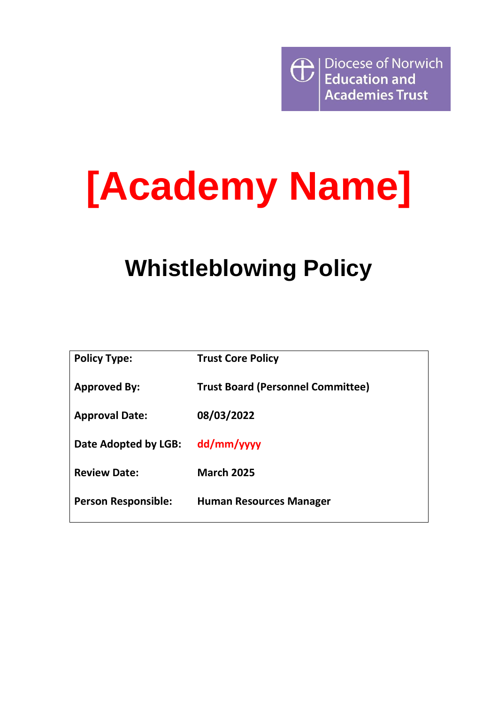

# **[Academy Name]**

# **Whistleblowing Policy**

| <b>Policy Type:</b>        | <b>Trust Core Policy</b>                 |
|----------------------------|------------------------------------------|
| <b>Approved By:</b>        | <b>Trust Board (Personnel Committee)</b> |
| <b>Approval Date:</b>      | 08/03/2022                               |
| Date Adopted by LGB:       | dd/mm/yyyy                               |
| <b>Review Date:</b>        | <b>March 2025</b>                        |
| <b>Person Responsible:</b> | <b>Human Resources Manager</b>           |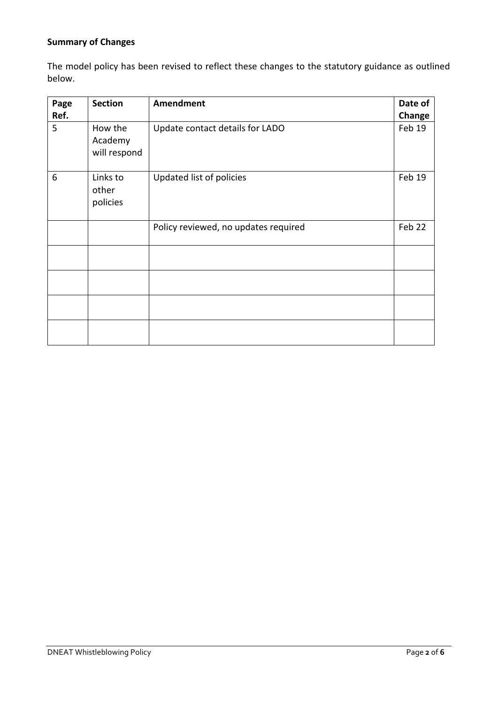# **Summary of Changes**

The model policy has been revised to reflect these changes to the statutory guidance as outlined below.

| Page<br>Ref.                       | <b>Section</b>                     | <b>Amendment</b>                     | Date of<br>Change |
|------------------------------------|------------------------------------|--------------------------------------|-------------------|
| 5                                  | How the<br>Academy<br>will respond | Update contact details for LADO      | Feb 19            |
| 6<br>Links to<br>other<br>policies |                                    | Updated list of policies             | Feb 19            |
|                                    |                                    | Policy reviewed, no updates required | Feb 22            |
|                                    |                                    |                                      |                   |
|                                    |                                    |                                      |                   |
|                                    |                                    |                                      |                   |
|                                    |                                    |                                      |                   |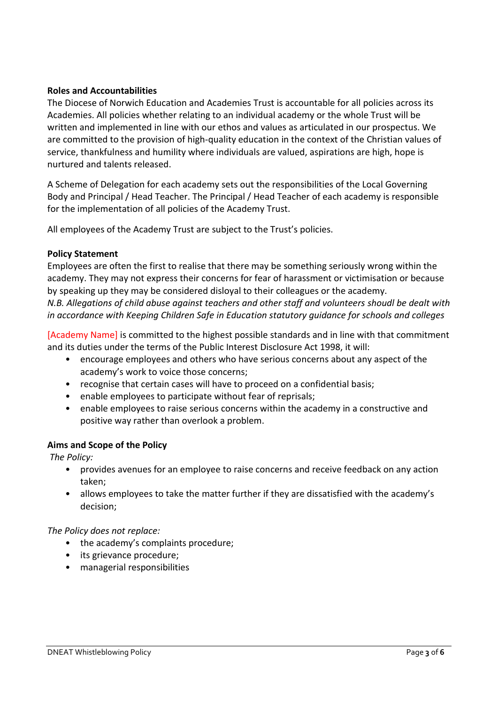#### **Roles and Accountabilities**

The Diocese of Norwich Education and Academies Trust is accountable for all policies across its Academies. All policies whether relating to an individual academy or the whole Trust will be written and implemented in line with our ethos and values as articulated in our prospectus. We are committed to the provision of high-quality education in the context of the Christian values of service, thankfulness and humility where individuals are valued, aspirations are high, hope is nurtured and talents released.

A Scheme of Delegation for each academy sets out the responsibilities of the Local Governing Body and Principal / Head Teacher. The Principal / Head Teacher of each academy is responsible for the implementation of all policies of the Academy Trust.

All employees of the Academy Trust are subject to the Trust's policies.

#### **Policy Statement**

Employees are often the first to realise that there may be something seriously wrong within the academy. They may not express their concerns for fear of harassment or victimisation or because by speaking up they may be considered disloyal to their colleagues or the academy. *N.B. Allegations of child abuse against teachers and other staff and volunteers shoudl be dealt with in accordance with Keeping Children Safe in Education statutory guidance for schools and colleges*

[Academy Name] is committed to the highest possible standards and in line with that commitment and its duties under the terms of the Public Interest Disclosure Act 1998, it will:

- encourage employees and others who have serious concerns about any aspect of the academy's work to voice those concerns;
- recognise that certain cases will have to proceed on a confidential basis;
- enable employees to participate without fear of reprisals;
- enable employees to raise serious concerns within the academy in a constructive and positive way rather than overlook a problem.

# **Aims and Scope of the Policy**

*The Policy:* 

- provides avenues for an employee to raise concerns and receive feedback on any action taken;
- allows employees to take the matter further if they are dissatisfied with the academy's decision;

#### *The Policy does not replace:*

- the academy's complaints procedure;
- its grievance procedure;
- managerial responsibilities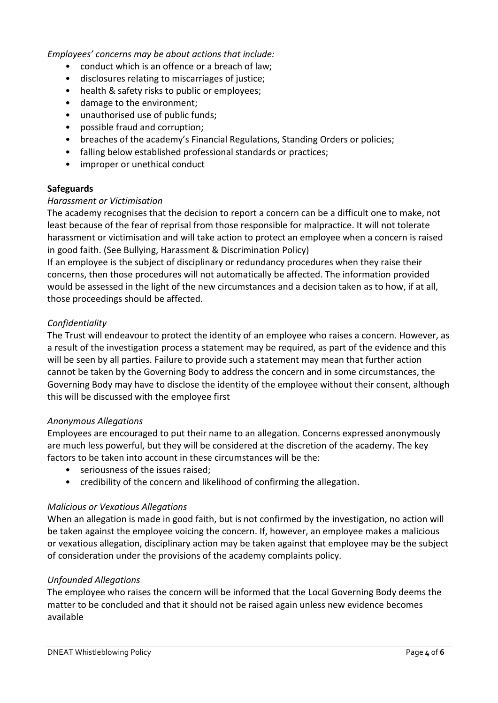*Employees' concerns may be about actions that include:* 

- conduct which is an offence or a breach of law;
- disclosures relating to miscarriages of justice;
- health & safety risks to public or employees;
- damage to the environment;
- unauthorised use of public funds;
- possible fraud and corruption;
- breaches of the academy's Financial Regulations, Standing Orders or policies;
- falling below established professional standards or practices;
- improper or unethical conduct

# **Safeguards**

#### *Harassment or Victimisation*

The academy recognises that the decision to report a concern can be a difficult one to make, not least because of the fear of reprisal from those responsible for malpractice. It will not tolerate harassment or victimisation and will take action to protect an employee when a concern is raised in good faith. (See Bullying, Harassment & Discrimination Policy)

If an employee is the subject of disciplinary or redundancy procedures when they raise their concerns, then those procedures will not automatically be affected. The information provided would be assessed in the light of the new circumstances and a decision taken as to how, if at all, those proceedings should be affected.

# *Confidentiality*

The Trust will endeavour to protect the identity of an employee who raises a concern. However, as a result of the investigation process a statement may be required, as part of the evidence and this will be seen by all parties. Failure to provide such a statement may mean that further action cannot be taken by the Governing Body to address the concern and in some circumstances, the Governing Body may have to disclose the identity of the employee without their consent, although this will be discussed with the employee first

#### *Anonymous Allegations*

Employees are encouraged to put their name to an allegation. Concerns expressed anonymously are much less powerful, but they will be considered at the discretion of the academy. The key factors to be taken into account in these circumstances will be the:

- seriousness of the issues raised;
- credibility of the concern and likelihood of confirming the allegation.

#### *Malicious or Vexatious Allegations*

When an allegation is made in good faith, but is not confirmed by the investigation, no action will be taken against the employee voicing the concern. If, however, an employee makes a malicious or vexatious allegation, disciplinary action may be taken against that employee may be the subject of consideration under the provisions of the academy complaints policy.

#### *Unfounded Allegations*

The employee who raises the concern will be informed that the Local Governing Body deems the matter to be concluded and that it should not be raised again unless new evidence becomes available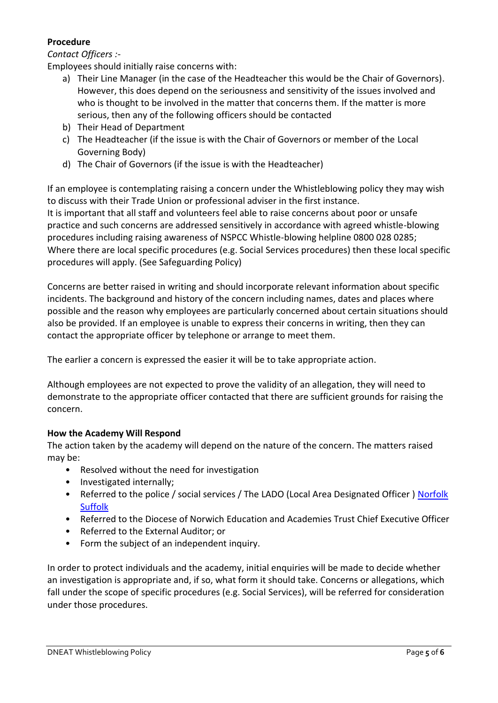# **Procedure**

# *Contact Officers :-*

Employees should initially raise concerns with:

- a) Their Line Manager (in the case of the Headteacher this would be the Chair of Governors). However, this does depend on the seriousness and sensitivity of the issues involved and who is thought to be involved in the matter that concerns them. If the matter is more serious, then any of the following officers should be contacted
- b) Their Head of Department
- c) The Headteacher (if the issue is with the Chair of Governors or member of the Local Governing Body)
- d) The Chair of Governors (if the issue is with the Headteacher)

If an employee is contemplating raising a concern under the Whistleblowing policy they may wish to discuss with their Trade Union or professional adviser in the first instance. It is important that all staff and volunteers feel able to raise concerns about poor or unsafe practice and such concerns are addressed sensitively in accordance with agreed whistle-blowing procedures including raising awareness of NSPCC Whistle-blowing helpline 0800 028 0285; Where there are local specific procedures (e.g. Social Services procedures) then these local specific procedures will apply. (See Safeguarding Policy)

Concerns are better raised in writing and should incorporate relevant information about specific incidents. The background and history of the concern including names, dates and places where possible and the reason why employees are particularly concerned about certain situations should also be provided. If an employee is unable to express their concerns in writing, then they can contact the appropriate officer by telephone or arrange to meet them.

The earlier a concern is expressed the easier it will be to take appropriate action.

Although employees are not expected to prove the validity of an allegation, they will need to demonstrate to the appropriate officer contacted that there are sufficient grounds for raising the concern.

# **How the Academy Will Respond**

The action taken by the academy will depend on the nature of the concern. The matters raised may be:

- Resolved without the need for investigation
- Investigated internally;
- Referred to the police / social services / The LADO (Local Area Designated Officer ) [Norfolk](http://www.norfolklscb.org/wp-content/uploads/2015/04/LADO-Guidance-on-Allegations-Against-Persons-who-work-with-Children-Safer-Version.docx) [Suffolk](https://www.suffolkscb.org.uk/assets/Working-with-Children/How-to-Make-a-Referral/LSCB-LADO-Leaflet-2017.pdf)
- Referred to the Diocese of Norwich Education and Academies Trust Chief Executive Officer
- Referred to the External Auditor; or
- Form the subject of an independent inquiry.

In order to protect individuals and the academy, initial enquiries will be made to decide whether an investigation is appropriate and, if so, what form it should take. Concerns or allegations, which fall under the scope of specific procedures (e.g. Social Services), will be referred for consideration under those procedures.